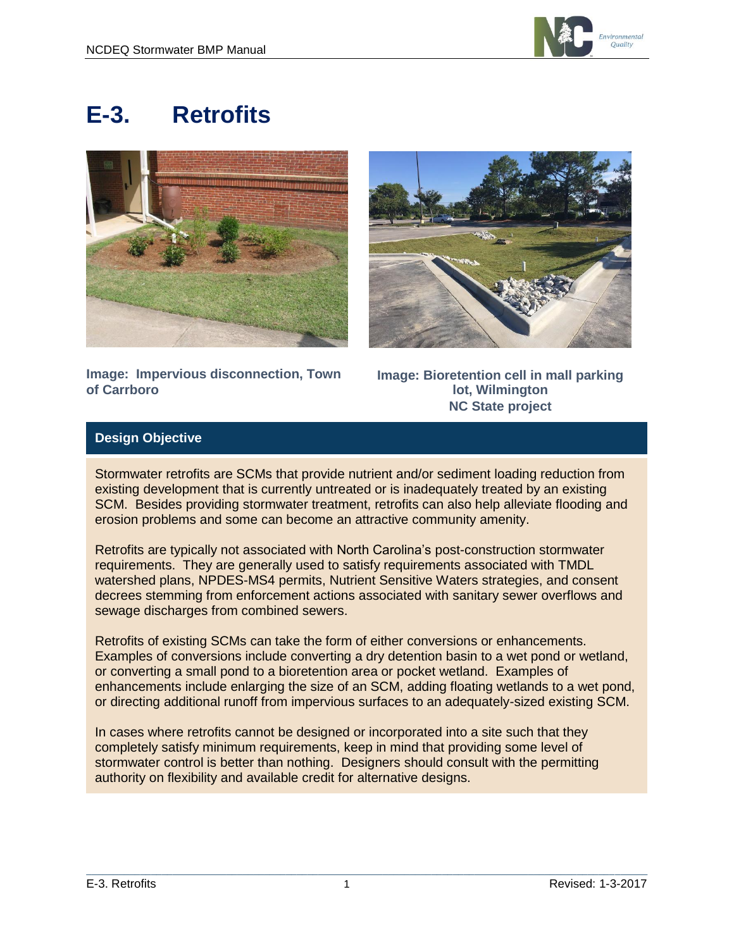

# **E-3. Retrofits**





**Image: Impervious disconnection, Town of Carrboro**

**Image: Bioretention cell in mall parking lot, Wilmington NC State project**

# **Design Objective**

Stormwater retrofits are SCMs that provide nutrient and/or sediment loading reduction from existing development that is currently untreated or is inadequately treated by an existing SCM. Besides providing stormwater treatment, retrofits can also help alleviate flooding and erosion problems and some can become an attractive community amenity.

Retrofits are typically not associated with North Carolina's post-construction stormwater requirements. They are generally used to satisfy requirements associated with TMDL watershed plans, NPDES-MS4 permits, Nutrient Sensitive Waters strategies, and consent decrees stemming from enforcement actions associated with sanitary sewer overflows and sewage discharges from combined sewers.

Retrofits of existing SCMs can take the form of either conversions or enhancements. Examples of conversions include converting a dry detention basin to a wet pond or wetland, or converting a small pond to a bioretention area or pocket wetland. Examples of enhancements include enlarging the size of an SCM, adding floating wetlands to a wet pond, or directing additional runoff from impervious surfaces to an adequately-sized existing SCM.

In cases where retrofits cannot be designed or incorporated into a site such that they completely satisfy minimum requirements, keep in mind that providing some level of stormwater control is better than nothing. Designers should consult with the permitting authority on flexibility and available credit for alternative designs.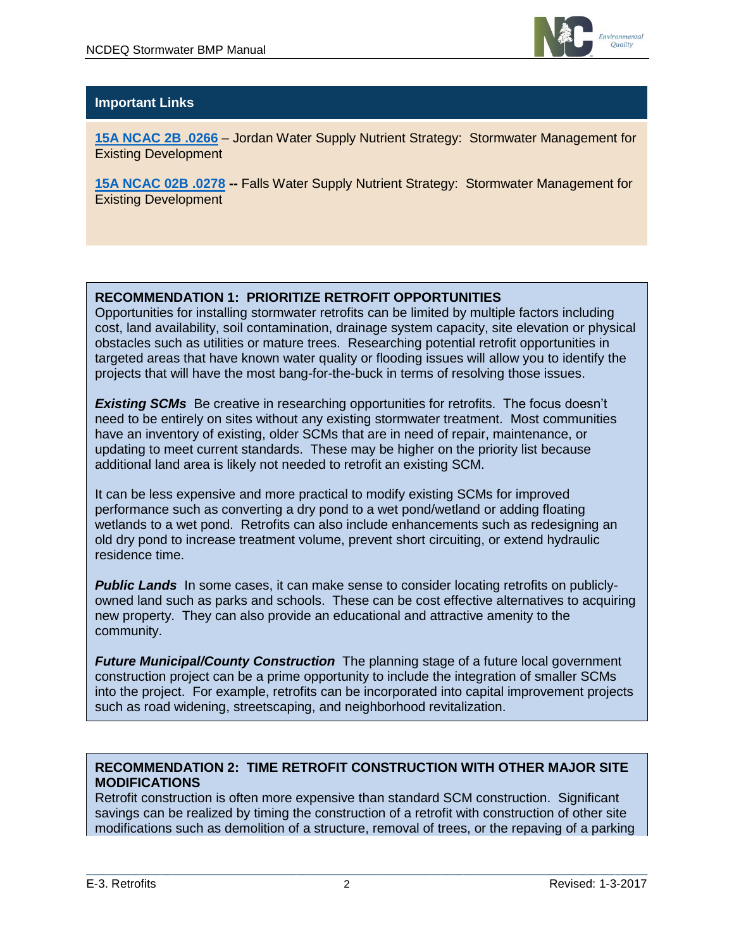

# **Important Links**

**[15A NCAC 2B .0266](http://reports.oah.state.nc.us/ncac/title%2015a%20-%20environmental%20quality/chapter%2002%20-%20environmental%20management/subchapter%20b/15a%20ncac%2002b%20.0266.pdf)** – Jordan Water Supply Nutrient Strategy: Stormwater Management for Existing Development

**[15A NCAC 02B .0278](http://portal.ncdenr.org/c/document_library/get_file?uuid=8ac0e036-d192-4b56-baa0-fe5ac2abdb53&groupId=38364) -- Falls Water Supply Nutrient Strategy: Stormwater Management for** Existing Development

## **RECOMMENDATION 1: PRIORITIZE RETROFIT OPPORTUNITIES**

Opportunities for installing stormwater retrofits can be limited by multiple factors including cost, land availability, soil contamination, drainage system capacity, site elevation or physical obstacles such as utilities or mature trees. Researching potential retrofit opportunities in targeted areas that have known water quality or flooding issues will allow you to identify the projects that will have the most bang-for-the-buck in terms of resolving those issues.

**Existing SCMs** Be creative in researching opportunities for retrofits. The focus doesn't need to be entirely on sites without any existing stormwater treatment. Most communities have an inventory of existing, older SCMs that are in need of repair, maintenance, or updating to meet current standards. These may be higher on the priority list because additional land area is likely not needed to retrofit an existing SCM.

It can be less expensive and more practical to modify existing SCMs for improved performance such as converting a dry pond to a wet pond/wetland or adding floating wetlands to a wet pond. Retrofits can also include enhancements such as redesigning an old dry pond to increase treatment volume, prevent short circuiting, or extend hydraulic residence time.

**Public Lands** In some cases, it can make sense to consider locating retrofits on publiclyowned land such as parks and schools. These can be cost effective alternatives to acquiring new property. They can also provide an educational and attractive amenity to the community.

*Future Municipal/County Construction* The planning stage of a future local government construction project can be a prime opportunity to include the integration of smaller SCMs into the project. For example, retrofits can be incorporated into capital improvement projects such as road widening, streetscaping, and neighborhood revitalization.

## **RECOMMENDATION 2: TIME RETROFIT CONSTRUCTION WITH OTHER MAJOR SITE MODIFICATIONS**

Retrofit construction is often more expensive than standard SCM construction. Significant savings can be realized by timing the construction of a retrofit with construction of other site modifications such as demolition of a structure, removal of trees, or the repaving of a parking